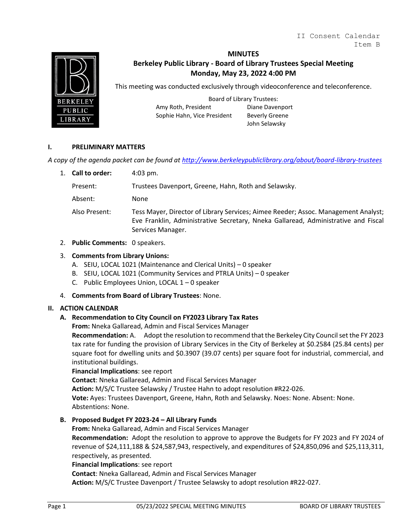

### **MINUTES**

# **Berkeley Public Library - Board of Library Trustees Special Meeting Monday, May 23, 2022 4:00 PM**

This meeting was conducted exclusively through videoconference and teleconference.

Board of Library Trustees: Amy Roth, President Diane Davenport Sophie Hahn, Vice President Beverly Greene

John Selawsky

#### **I. PRELIMINARY MATTERS**

*A copy of the agenda packet can be found at<http://www.berkeleypubliclibrary.org/about/board-library-trustees>*

1. **Call to order:** 4:03 pm.

Present: Trustees Davenport, Greene, Hahn, Roth and Selawsky.

Absent: None

Also Present: Tess Mayer, Director of Library Services; Aimee Reeder; Assoc. Management Analyst; Eve Franklin, Administrative Secretary, Nneka Gallaread, Administrative and Fiscal Services Manager.

## 2. **Public Comments:** 0 speakers.

### 3. **Comments from Library Unions:**

- A. SEIU, LOCAL 1021 (Maintenance and Clerical Units) 0 speaker
- B. SEIU, LOCAL 1021 (Community Services and PTRLA Units) 0 speaker
- C. Public Employees Union, LOCAL 1 0 speaker
- 4. **Comments from Board of Library Trustees**: None.

# **II. ACTION CALENDAR**

# **A. Recommendation to City Council on FY2023 Library Tax Rates**

**From:** Nneka Gallaread, Admin and Fiscal Services Manager

**Recommendation:** A. Adopt the resolution to recommend that the Berkeley City Council set the FY 2023 tax rate for funding the provision of Library Services in the City of Berkeley at \$0.2584 (25.84 cents) per square foot for dwelling units and \$0.3907 (39.07 cents) per square foot for industrial, commercial, and institutional buildings.

#### **Financial Implications**: see report

**Contact**: Nneka Gallaread, Admin and Fiscal Services Manager

**Action:** M/S/C Trustee Selawsky / Trustee Hahn to adopt resolution #R22-026.

**Vote:** Ayes: Trustees Davenport, Greene, Hahn, Roth and Selawsky. Noes: None. Absent: None. Abstentions: None.

**B. Proposed Budget FY 2023-24 – All Library Funds**

**From:** Nneka Gallaread, Admin and Fiscal Services Manager

**Recommendation:** Adopt the resolution to approve to approve the Budgets for FY 2023 and FY 2024 of revenue of \$24,111,188 & \$24,587,943, respectively, and expenditures of \$24,850,096 and \$25,113,311, respectively, as presented.

#### **Financial Implications**: see report

**Contact**: Nneka Gallaread, Admin and Fiscal Services Manager

**Action:** M/S/C Trustee Davenport / Trustee Selawsky to adopt resolution #R22-027.